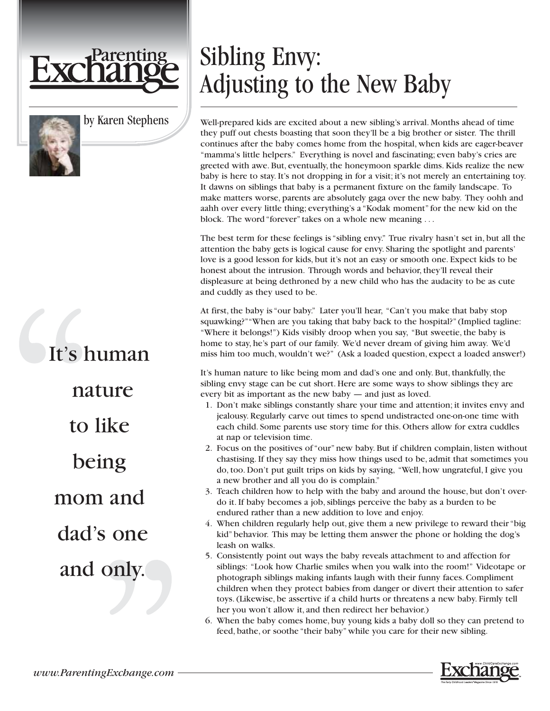

by Karen Stephens

## It's human nature to like being mom and dad's one and only.

## Sibling Envy: Adjusting to the New Baby

Well-prepared kids are excited about a new sibling's arrival. Months ahead of time they puff out chests boasting that soon they'll be a big brother or sister. The thrill continues after the baby comes home from the hospital, when kids are eager-beaver "mamma's little helpers." Everything is novel and fascinating; even baby's cries are greeted with awe. But, eventually, the honeymoon sparkle dims. Kids realize the new baby is here to stay. It's not dropping in for a visit; it's not merely an entertaining toy. It dawns on siblings that baby is a permanent fixture on the family landscape. To make matters worse, parents are absolutely gaga over the new baby. They oohh and aahh over every little thing; everything's a "Kodak moment" for the new kid on the block. The word "forever" takes on a whole new meaning . . .

The best term for these feelings is "sibling envy." True rivalry hasn't set in, but all the attention the baby gets is logical cause for envy. Sharing the spotlight and parents' love is a good lesson for kids, but it's not an easy or smooth one. Expect kids to be honest about the intrusion. Through words and behavior, they'll reveal their displeasure at being dethroned by a new child who has the audacity to be as cute and cuddly as they used to be.

At first, the baby is "our baby." Later you'll hear, "Can't you make that baby stop squawking?""When are you taking that baby back to the hospital?" (Implied tagline: "Where it belongs!") Kids visibly droop when you say, "But sweetie, the baby is home to stay, he's part of our family. We'd never dream of giving him away. We'd miss him too much, wouldn't we?" (Ask a loaded question, expect a loaded answer!)

It's human nature to like being mom and dad's one and only. But, thankfully, the sibling envy stage can be cut short. Here are some ways to show siblings they are every bit as important as the new baby — and just as loved.

- 1. Don't make siblings constantly share your time and attention; it invites envy and jealousy. Regularly carve out times to spend undistracted one-on-one time with each child. Some parents use story time for this. Others allow for extra cuddles at nap or television time.
- 2. Focus on the positives of "our" new baby. But if children complain, listen without chastising. If they say they miss how things used to be, admit that sometimes you do, too. Don't put guilt trips on kids by saying, "Well, how ungrateful, I give you a new brother and all you do is complain."
- 3. Teach children how to help with the baby and around the house, but don't overdo it. If baby becomes a job, siblings perceive the baby as a burden to be endured rather than a new addition to love and enjoy.
- 4. When children regularly help out, give them a new privilege to reward their "big kid" behavior. This may be letting them answer the phone or holding the dog's leash on walks.
- 5. Consistently point out ways the baby reveals attachment to and affection for siblings: "Look how Charlie smiles when you walk into the room!" Videotape or photograph siblings making infants laugh with their funny faces. Compliment children when they protect babies from danger or divert their attention to safer toys. (Likewise, be assertive if a child hurts or threatens a new baby. Firmly tell her you won't allow it, and then redirect her behavior.)
- 6. When the baby comes home, buy young kids a baby doll so they can pretend to feed, bathe, or soothe "their baby" while you care for their new sibling.